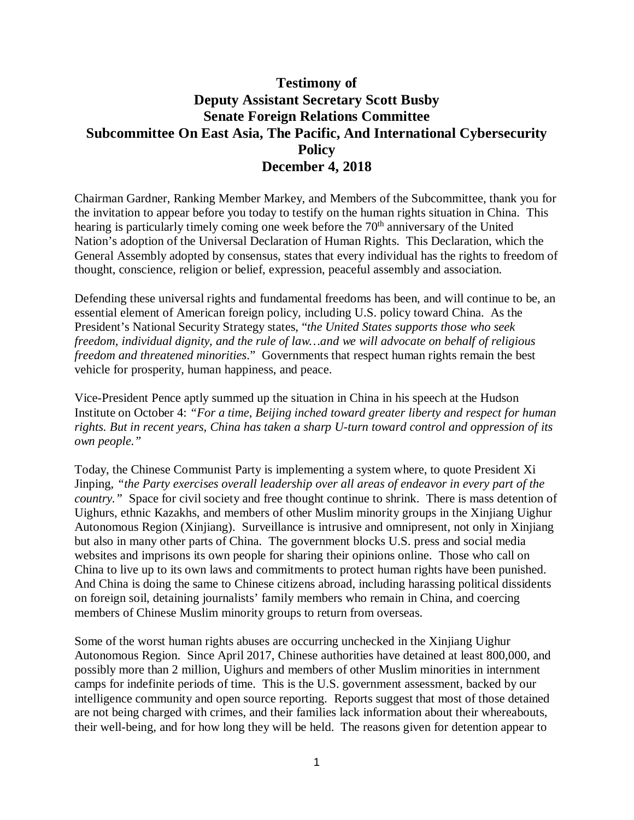## **Testimony of Deputy Assistant Secretary Scott Busby Senate Foreign Relations Committee Subcommittee On East Asia, The Pacific, And International Cybersecurity Policy December 4, 2018**

Chairman Gardner, Ranking Member Markey, and Members of the Subcommittee, thank you for the invitation to appear before you today to testify on the human rights situation in China. This hearing is particularly timely coming one week before the  $70<sup>th</sup>$  anniversary of the United Nation's adoption of the Universal Declaration of Human Rights. This Declaration, which the General Assembly adopted by consensus, states that every individual has the rights to freedom of thought, conscience, religion or belief, expression, peaceful assembly and association.

Defending these universal rights and fundamental freedoms has been, and will continue to be, an essential element of American foreign policy, including U.S. policy toward China. As the President's National Security Strategy states, "*the United States supports those who seek freedom, individual dignity, and the rule of law…and we will advocate on behalf of religious freedom and threatened minorities*." Governments that respect human rights remain the best vehicle for prosperity, human happiness, and peace.

Vice-President Pence aptly summed up the situation in China in his speech at the Hudson Institute on October 4: *"For a time, Beijing inched toward greater liberty and respect for human rights. But in recent years, China has taken a sharp U-turn toward control and oppression of its own people."* 

Today, the Chinese Communist Party is implementing a system where, to quote President Xi Jinping, *"the Party exercises overall leadership over all areas of endeavor in every part of the country."* Space for civil society and free thought continue to shrink. There is mass detention of Uighurs, ethnic Kazakhs, and members of other Muslim minority groups in the Xinjiang Uighur Autonomous Region (Xinjiang). Surveillance is intrusive and omnipresent, not only in Xinjiang but also in many other parts of China. The government blocks U.S. press and social media websites and imprisons its own people for sharing their opinions online. Those who call on China to live up to its own laws and commitments to protect human rights have been punished. And China is doing the same to Chinese citizens abroad, including harassing political dissidents on foreign soil, detaining journalists' family members who remain in China, and coercing members of Chinese Muslim minority groups to return from overseas.

Some of the worst human rights abuses are occurring unchecked in the Xinjiang Uighur Autonomous Region. Since April 2017, Chinese authorities have detained at least 800,000, and possibly more than 2 million, Uighurs and members of other Muslim minorities in internment camps for indefinite periods of time. This is the U.S. government assessment, backed by our intelligence community and open source reporting. Reports suggest that most of those detained are not being charged with crimes, and their families lack information about their whereabouts, their well-being, and for how long they will be held. The reasons given for detention appear to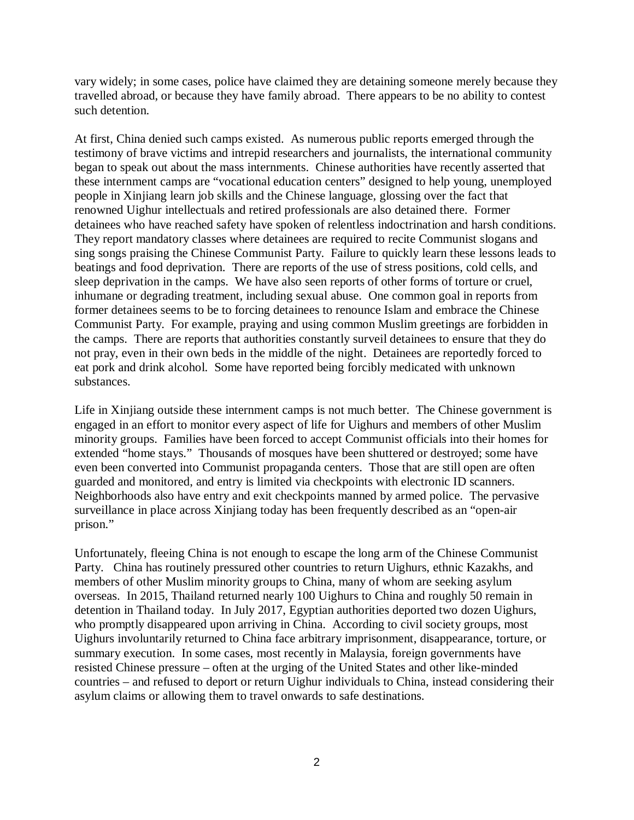vary widely; in some cases, police have claimed they are detaining someone merely because they travelled abroad, or because they have family abroad. There appears to be no ability to contest such detention.

At first, China denied such camps existed. As numerous public reports emerged through the testimony of brave victims and intrepid researchers and journalists, the international community began to speak out about the mass internments. Chinese authorities have recently asserted that these internment camps are "vocational education centers" designed to help young, unemployed people in Xinjiang learn job skills and the Chinese language, glossing over the fact that renowned Uighur intellectuals and retired professionals are also detained there. Former detainees who have reached safety have spoken of relentless indoctrination and harsh conditions. They report mandatory classes where detainees are required to recite Communist slogans and sing songs praising the Chinese Communist Party. Failure to quickly learn these lessons leads to beatings and food deprivation. There are reports of the use of stress positions, cold cells, and sleep deprivation in the camps. We have also seen reports of other forms of torture or cruel, inhumane or degrading treatment, including sexual abuse. One common goal in reports from former detainees seems to be to forcing detainees to renounce Islam and embrace the Chinese Communist Party. For example, praying and using common Muslim greetings are forbidden in the camps. There are reports that authorities constantly surveil detainees to ensure that they do not pray, even in their own beds in the middle of the night. Detainees are reportedly forced to eat pork and drink alcohol. Some have reported being forcibly medicated with unknown substances.

Life in Xinjiang outside these internment camps is not much better. The Chinese government is engaged in an effort to monitor every aspect of life for Uighurs and members of other Muslim minority groups. Families have been forced to accept Communist officials into their homes for extended "home stays." Thousands of mosques have been shuttered or destroyed; some have even been converted into Communist propaganda centers. Those that are still open are often guarded and monitored, and entry is limited via checkpoints with electronic ID scanners. Neighborhoods also have entry and exit checkpoints manned by armed police. The pervasive surveillance in place across Xinjiang today has been frequently described as an "open-air prison."

Unfortunately, fleeing China is not enough to escape the long arm of the Chinese Communist Party. China has routinely pressured other countries to return Uighurs, ethnic Kazakhs, and members of other Muslim minority groups to China, many of whom are seeking asylum overseas. In 2015, Thailand returned nearly 100 Uighurs to China and roughly 50 remain in detention in Thailand today. In July 2017, Egyptian authorities deported two dozen Uighurs, who promptly disappeared upon arriving in China. According to civil society groups, most Uighurs involuntarily returned to China face arbitrary imprisonment, disappearance, torture, or summary execution. In some cases, most recently in Malaysia, foreign governments have resisted Chinese pressure – often at the urging of the United States and other like-minded countries – and refused to deport or return Uighur individuals to China, instead considering their asylum claims or allowing them to travel onwards to safe destinations.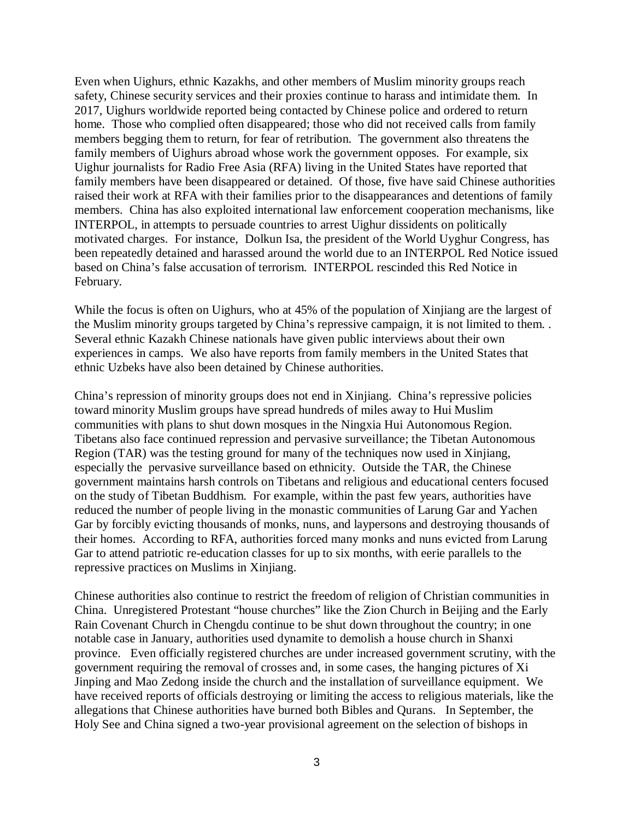Even when Uighurs, ethnic Kazakhs, and other members of Muslim minority groups reach safety, Chinese security services and their proxies continue to harass and intimidate them. In 2017, Uighurs worldwide reported being contacted by Chinese police and ordered to return home. Those who complied often disappeared; those who did not received calls from family members begging them to return, for fear of retribution. The government also threatens the family members of Uighurs abroad whose work the government opposes. For example, six Uighur journalists for Radio Free Asia (RFA) living in the United States have reported that family members have been disappeared or detained. Of those, five have said Chinese authorities raised their work at RFA with their families prior to the disappearances and detentions of family members. China has also exploited international law enforcement cooperation mechanisms, like INTERPOL, in attempts to persuade countries to arrest Uighur dissidents on politically motivated charges. For instance, Dolkun Isa, the president of the World Uyghur Congress, has been repeatedly detained and harassed around the world due to an INTERPOL Red Notice issued based on China's false accusation of terrorism. INTERPOL rescinded this Red Notice in February.

While the focus is often on Uighurs, who at 45% of the population of Xinjiang are the largest of the Muslim minority groups targeted by China's repressive campaign, it is not limited to them. . Several ethnic Kazakh Chinese nationals have given public interviews about their own experiences in camps. We also have reports from family members in the United States that ethnic Uzbeks have also been detained by Chinese authorities.

China's repression of minority groups does not end in Xinjiang. China's repressive policies toward minority Muslim groups have spread hundreds of miles away to Hui Muslim communities with plans to shut down mosques in the Ningxia Hui Autonomous Region. Tibetans also face continued repression and pervasive surveillance; the Tibetan Autonomous Region (TAR) was the testing ground for many of the techniques now used in Xinjiang, especially the pervasive surveillance based on ethnicity. Outside the TAR, the Chinese government maintains harsh controls on Tibetans and religious and educational centers focused on the study of Tibetan Buddhism. For example, within the past few years, authorities have reduced the number of people living in the monastic communities of Larung Gar and Yachen Gar by forcibly evicting thousands of monks, nuns, and laypersons and destroying thousands of their homes. According to RFA, authorities forced many monks and nuns evicted from Larung Gar to attend patriotic re-education classes for up to six months, with eerie parallels to the repressive practices on Muslims in Xinjiang.

Chinese authorities also continue to restrict the freedom of religion of Christian communities in China. Unregistered Protestant "house churches" like the Zion Church in Beijing and the Early Rain Covenant Church in Chengdu continue to be shut down throughout the country; in one notable case in January, authorities used dynamite to demolish a house church in Shanxi province. Even officially registered churches are under increased government scrutiny, with the government requiring the removal of crosses and, in some cases, the hanging pictures of Xi Jinping and Mao Zedong inside the church and the installation of surveillance equipment. We have received reports of officials destroying or limiting the access to religious materials, like the allegations that Chinese authorities have burned both Bibles and Qurans. In September, the Holy See and China signed a two-year provisional agreement on the selection of bishops in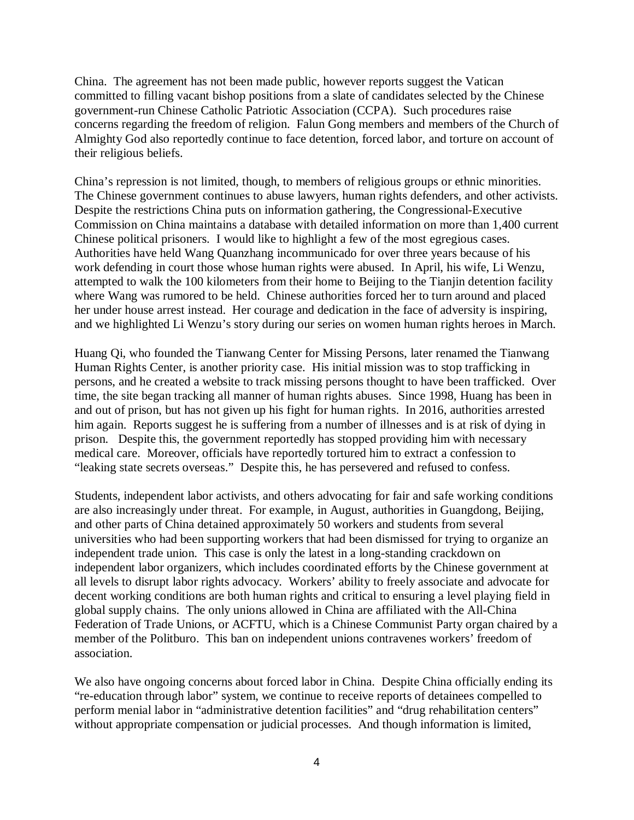China. The agreement has not been made public, however reports suggest the Vatican committed to filling vacant bishop positions from a slate of candidates selected by the Chinese government-run Chinese Catholic Patriotic Association (CCPA). Such procedures raise concerns regarding the freedom of religion. Falun Gong members and members of the Church of Almighty God also reportedly continue to face detention, forced labor, and torture on account of their religious beliefs.

China's repression is not limited, though, to members of religious groups or ethnic minorities. The Chinese government continues to abuse lawyers, human rights defenders, and other activists. Despite the restrictions China puts on information gathering, the Congressional-Executive Commission on China maintains a database with detailed information on more than 1,400 current Chinese political prisoners. I would like to highlight a few of the most egregious cases. Authorities have held Wang Quanzhang incommunicado for over three years because of his work defending in court those whose human rights were abused. In April, his wife, Li Wenzu, attempted to walk the 100 kilometers from their home to Beijing to the Tianjin detention facility where Wang was rumored to be held. Chinese authorities forced her to turn around and placed her under house arrest instead. Her courage and dedication in the face of adversity is inspiring, and we highlighted Li Wenzu's story during our series on women human rights heroes in March.

Huang Qi, who founded the Tianwang Center for Missing Persons, later renamed the Tianwang Human Rights Center, is another priority case. His initial mission was to stop trafficking in persons, and he created a website to track missing persons thought to have been trafficked. Over time, the site began tracking all manner of human rights abuses. Since 1998, Huang has been in and out of prison, but has not given up his fight for human rights. In 2016, authorities arrested him again. Reports suggest he is suffering from a number of illnesses and is at risk of dying in prison. Despite this, the government reportedly has stopped providing him with necessary medical care. Moreover, officials have reportedly tortured him to extract a confession to "leaking state secrets overseas." Despite this, he has persevered and refused to confess.

Students, independent labor activists, and others advocating for fair and safe working conditions are also increasingly under threat. For example, in August, authorities in Guangdong, Beijing, and other parts of China detained approximately 50 workers and students from several universities who had been supporting workers that had been dismissed for trying to organize an independent trade union. This case is only the latest in a long-standing crackdown on independent labor organizers, which includes coordinated efforts by the Chinese government at all levels to disrupt labor rights advocacy. Workers' ability to freely associate and advocate for decent working conditions are both human rights and critical to ensuring a level playing field in global supply chains. The only unions allowed in China are affiliated with the All-China Federation of Trade Unions, or ACFTU, which is a Chinese Communist Party organ chaired by a member of the Politburo. This ban on independent unions contravenes workers' freedom of association.

We also have ongoing concerns about forced labor in China. Despite China officially ending its "re-education through labor" system, we continue to receive reports of detainees compelled to perform menial labor in "administrative detention facilities" and "drug rehabilitation centers" without appropriate compensation or judicial processes. And though information is limited,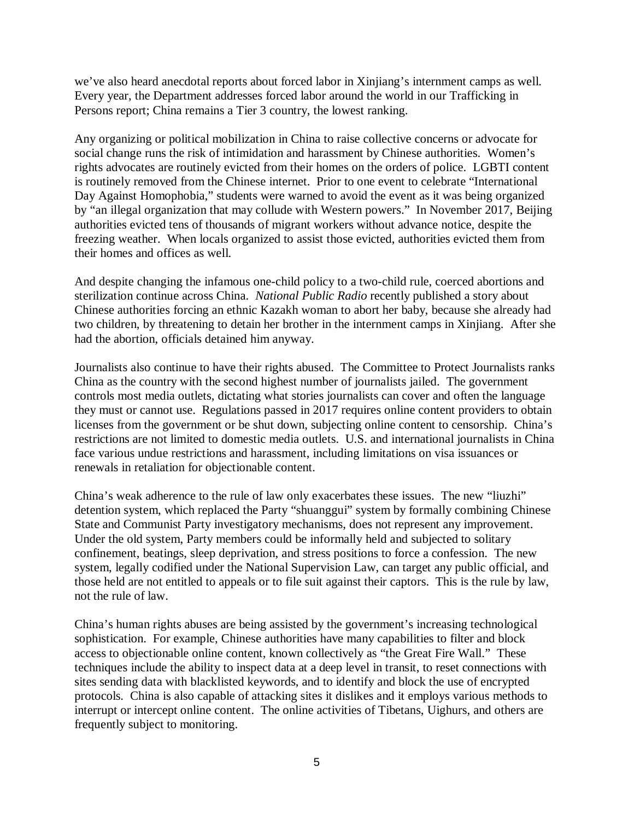we've also heard anecdotal reports about forced labor in Xinjiang's internment camps as well. Every year, the Department addresses forced labor around the world in our Trafficking in Persons report; China remains a Tier 3 country, the lowest ranking.

Any organizing or political mobilization in China to raise collective concerns or advocate for social change runs the risk of intimidation and harassment by Chinese authorities. Women's rights advocates are routinely evicted from their homes on the orders of police. LGBTI content is routinely removed from the Chinese internet. Prior to one event to celebrate "International Day Against Homophobia," students were warned to avoid the event as it was being organized by "an illegal organization that may collude with Western powers." In November 2017, Beijing authorities evicted tens of thousands of migrant workers without advance notice, despite the freezing weather. When locals organized to assist those evicted, authorities evicted them from their homes and offices as well.

And despite changing the infamous one-child policy to a two-child rule, coerced abortions and sterilization continue across China. *National Public Radio* recently published a story about Chinese authorities forcing an ethnic Kazakh woman to abort her baby, because she already had two children, by threatening to detain her brother in the internment camps in Xinjiang. After she had the abortion, officials detained him anyway.

Journalists also continue to have their rights abused. The Committee to Protect Journalists ranks China as the country with the second highest number of journalists jailed. The government controls most media outlets, dictating what stories journalists can cover and often the language they must or cannot use. Regulations passed in 2017 requires online content providers to obtain licenses from the government or be shut down, subjecting online content to censorship. China's restrictions are not limited to domestic media outlets. U.S. and international journalists in China face various undue restrictions and harassment, including limitations on visa issuances or renewals in retaliation for objectionable content.

China's weak adherence to the rule of law only exacerbates these issues. The new "liuzhi" detention system, which replaced the Party "shuanggui" system by formally combining Chinese State and Communist Party investigatory mechanisms, does not represent any improvement. Under the old system, Party members could be informally held and subjected to solitary confinement, beatings, sleep deprivation, and stress positions to force a confession. The new system, legally codified under the National Supervision Law, can target any public official, and those held are not entitled to appeals or to file suit against their captors. This is the rule by law, not the rule of law.

China's human rights abuses are being assisted by the government's increasing technological sophistication. For example, Chinese authorities have many capabilities to filter and block access to objectionable online content, known collectively as "the Great Fire Wall." These techniques include the ability to inspect data at a deep level in transit, to reset connections with sites sending data with blacklisted keywords, and to identify and block the use of encrypted protocols. China is also capable of attacking sites it dislikes and it employs various methods to interrupt or intercept online content. The online activities of Tibetans, Uighurs, and others are frequently subject to monitoring.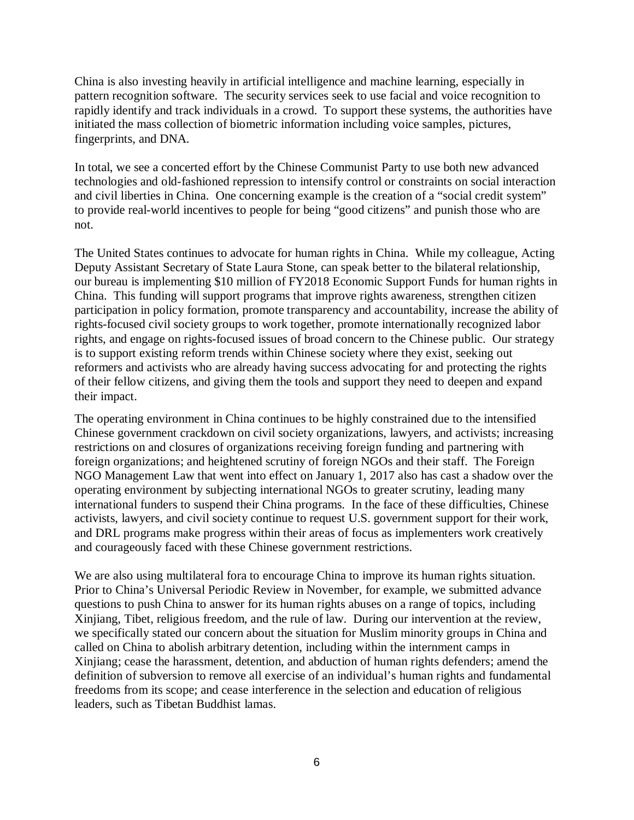China is also investing heavily in artificial intelligence and machine learning, especially in pattern recognition software. The security services seek to use facial and voice recognition to rapidly identify and track individuals in a crowd. To support these systems, the authorities have initiated the mass collection of biometric information including voice samples, pictures, fingerprints, and DNA.

In total, we see a concerted effort by the Chinese Communist Party to use both new advanced technologies and old-fashioned repression to intensify control or constraints on social interaction and civil liberties in China. One concerning example is the creation of a "social credit system" to provide real-world incentives to people for being "good citizens" and punish those who are not.

The United States continues to advocate for human rights in China. While my colleague, Acting Deputy Assistant Secretary of State Laura Stone, can speak better to the bilateral relationship, our bureau is implementing \$10 million of FY2018 Economic Support Funds for human rights in China. This funding will support programs that improve rights awareness, strengthen citizen participation in policy formation, promote transparency and accountability, increase the ability of rights-focused civil society groups to work together, promote internationally recognized labor rights, and engage on rights-focused issues of broad concern to the Chinese public. Our strategy is to support existing reform trends within Chinese society where they exist, seeking out reformers and activists who are already having success advocating for and protecting the rights of their fellow citizens, and giving them the tools and support they need to deepen and expand their impact.

The operating environment in China continues to be highly constrained due to the intensified Chinese government crackdown on civil society organizations, lawyers, and activists; increasing restrictions on and closures of organizations receiving foreign funding and partnering with foreign organizations; and heightened scrutiny of foreign NGOs and their staff. The Foreign NGO Management Law that went into effect on January 1, 2017 also has cast a shadow over the operating environment by subjecting international NGOs to greater scrutiny, leading many international funders to suspend their China programs. In the face of these difficulties, Chinese activists, lawyers, and civil society continue to request U.S. government support for their work, and DRL programs make progress within their areas of focus as implementers work creatively and courageously faced with these Chinese government restrictions.

We are also using multilateral fora to encourage China to improve its human rights situation. Prior to China's Universal Periodic Review in November, for example, we submitted advance questions to push China to answer for its human rights abuses on a range of topics, including Xinjiang, Tibet, religious freedom, and the rule of law. During our intervention at the review, we specifically stated our concern about the situation for Muslim minority groups in China and called on China to abolish arbitrary detention, including within the internment camps in Xinjiang; cease the harassment, detention, and abduction of human rights defenders; amend the definition of subversion to remove all exercise of an individual's human rights and fundamental freedoms from its scope; and cease interference in the selection and education of religious leaders, such as Tibetan Buddhist lamas.